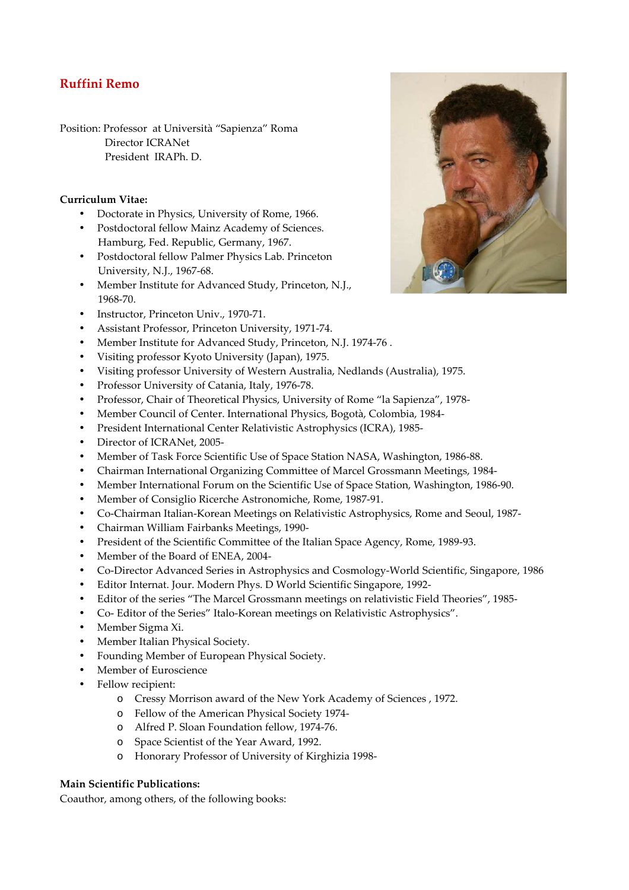## **Ruffini Remo**

Position: Professor at Università "Sapienza" Roma Director ICRANet President IRAPh. D.

## **Curriculum Vitae:**

- Doctorate in Physics, University of Rome, 1966.
- Postdoctoral fellow Mainz Academy of Sciences. Hamburg, Fed. Republic, Germany, 1967.
- Postdoctoral fellow Palmer Physics Lab. Princeton University, N.J., 1967-68.
- Member Institute for Advanced Study, Princeton, N.J., 1968-70.
- Instructor, Princeton Univ., 1970-71.
- Assistant Professor, Princeton University, 1971-74.
- Member Institute for Advanced Study, Princeton, N.J. 1974-76 .
- Visiting professor Kyoto University (Japan), 1975.
- Visiting professor University of Western Australia, Nedlands (Australia), 1975.
- Professor University of Catania, Italy, 1976-78.
- Professor, Chair of Theoretical Physics, University of Rome "la Sapienza", 1978-
- Member Council of Center. International Physics, Bogotà, Colombia, 1984-
- President International Center Relativistic Astrophysics (ICRA), 1985-
- Director of ICRANet, 2005-
- Member of Task Force Scientific Use of Space Station NASA, Washington, 1986-88.
- Chairman International Organizing Committee of Marcel Grossmann Meetings, 1984-
- Member International Forum on the Scientific Use of Space Station, Washington, 1986-90.
- Member of Consiglio Ricerche Astronomiche, Rome, 1987-91.
- Co-Chairman Italian-Korean Meetings on Relativistic Astrophysics, Rome and Seoul, 1987-
- Chairman William Fairbanks Meetings, 1990-
- President of the Scientific Committee of the Italian Space Agency, Rome, 1989-93.
- Member of the Board of ENEA, 2004-
- Co-Director Advanced Series in Astrophysics and Cosmology-World Scientific, Singapore, 1986
- Editor Internat. Jour. Modern Phys. D World Scientific Singapore, 1992-
- Editor of the series "The Marcel Grossmann meetings on relativistic Field Theories", 1985-
- Co- Editor of the Series" Italo-Korean meetings on Relativistic Astrophysics".
- Member Sigma Xi.
- Member Italian Physical Society.
- Founding Member of European Physical Society.
- Member of Euroscience
- Fellow recipient:
	- o Cressy Morrison award of the New York Academy of Sciences , 1972.
	- o Fellow of the American Physical Society 1974-
	- o Alfred P. Sloan Foundation fellow, 1974-76.
	- o Space Scientist of the Year Award, 1992.
	- o Honorary Professor of University of Kirghizia 1998-

## **Main Scientific Publications:**

Coauthor, among others, of the following books: